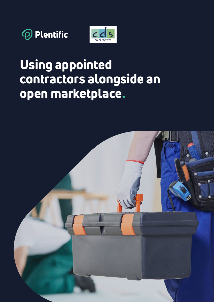



# Using appointed contractors alongside an open marketplace.